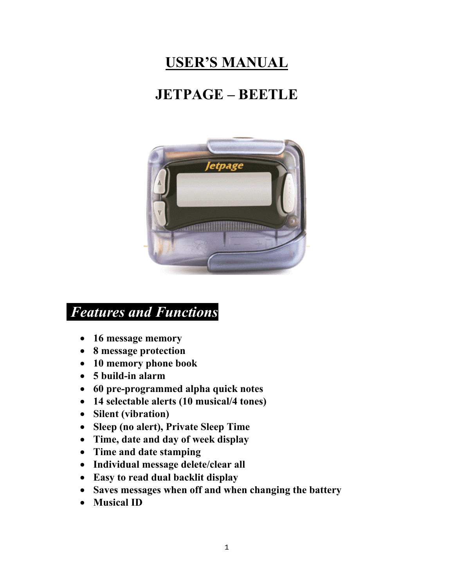# **USER'S MANUAL**

# **JETPAGE – BEETLE**



### *Features and Functions*

- **16 message memory**
- **8 message protection**
- **10 memory phone book**
- **5 build-in alarm**
- **60 pre-programmed alpha quick notes**
- **14 selectable alerts (10 musical/4 tones)**
- **Silent (vibration)**
- **Sleep (no alert), Private Sleep Time**
- **Time, date and day of week display**
- **Time and date stamping**
- **Individual message delete/clear all**
- **Easy to read dual backlit display**
- **Saves messages when off and when changing the battery**
- **Musical ID**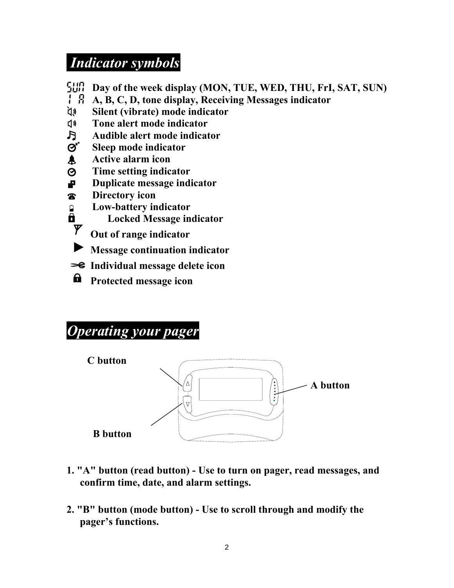## *Indicator symbols*

| Sun                            | Day of the week display (MON, TUE, WED, THU, FrI, SAT, SUN) |
|--------------------------------|-------------------------------------------------------------|
| 1 R                            | A, B, C, D, tone display, Receiving Messages indicator      |
| <b>EX</b>                      | Silent (vibrate) mode indicator                             |
| $\mathbf{I}$                   | Tone alert mode indicator                                   |
| $\mathbf{F}$                   | Audible alert mode indicator                                |
| $\boldsymbol{\Theta}^{\prime}$ | Sleep mode indicator                                        |
| $\blacktriangle$               | <b>Active alarm icon</b>                                    |
| $\boldsymbol{\Theta}$          | Time setting indicator                                      |
| Æ                              | Duplicate message indicator                                 |
| $\mathbf{z}$                   | Directory icon                                              |
| Ĥ                              | Low-battery indicator                                       |
| ô                              | <b>Locked Message indicator</b>                             |
|                                | Out of range indicator                                      |
|                                | <b>Message continuation indicator</b>                       |
|                                | <b>S</b> Individual message delete icon                     |
| ဂ                              | Protected message icon                                      |

# *Operating your pager*



- **1. "A" button (read button) Use to turn on pager, read messages, and confirm time, date, and alarm settings.**
- **2. "B" button (mode button) Use to scroll through and modify the pager's functions.**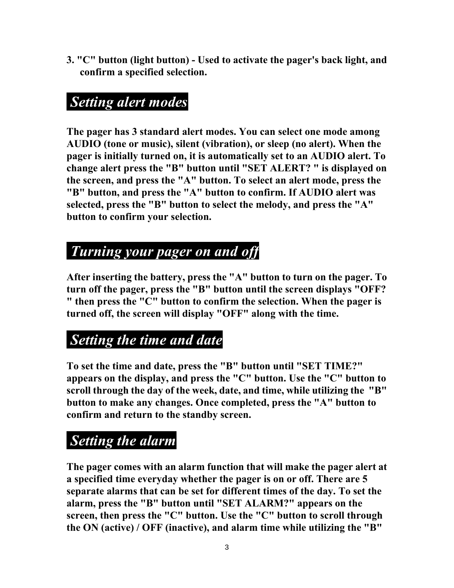**3. "C" button (light button) - Used to activate the pager's back light, and confirm a specified selection.** 

### *Setting alert modes*

**The pager has 3 standard alert modes. You can select one mode among AUDIO (tone or music), silent (vibration), or sleep (no alert). When the pager is initially turned on, it is automatically set to an AUDIO alert. To change alert press the "B" button until "SET ALERT? " is displayed on the screen, and press the "A" button. To select an alert mode, press the "B" button, and press the "A" button to confirm. If AUDIO alert was selected, press the "B" button to select the melody, and press the "A" button to confirm your selection.**

### *Turning your pager on and off*

**After inserting the battery, press the "A" button to turn on the pager. To turn off the pager, press the "B" button until the screen displays "OFF? " then press the "C" button to confirm the selection. When the pager is turned off, the screen will display "OFF" along with the time.** 

# *Setting the time and date*

**To set the time and date, press the "B" button until "SET TIME?" appears on the display, and press the "C" button. Use the "C" button to scroll through the day of the week, date, and time, while utilizing the "B" button to make any changes. Once completed, press the "A" button to confirm and return to the standby screen.** 

# *Setting the alarm*

**The pager comes with an alarm function that will make the pager alert at a specified time everyday whether the pager is on or off. There are 5 separate alarms that can be set for different times of the day. To set the alarm, press the "B" button until "SET ALARM?" appears on the screen, then press the "C" button. Use the "C" button to scroll through the ON (active) / OFF (inactive), and alarm time while utilizing the "B"**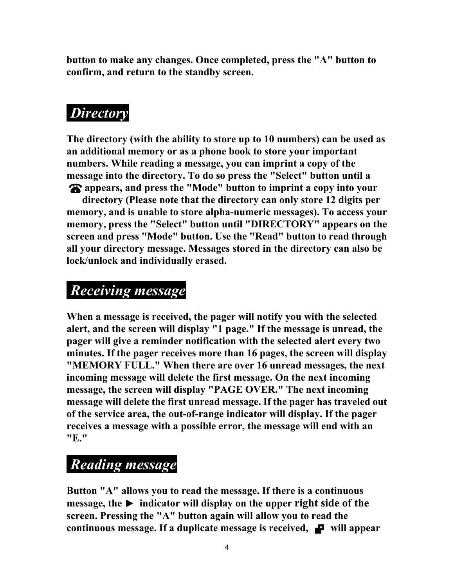**button to make any changes. Once completed, press the "A" button to confirm, and return to the standby screen.**

# *Directory*

**The directory (with the ability to store up to 10 numbers) can be used as an additional memory or as a phone book to store your important numbers. While reading a message, you can imprint a copy of the message into the directory. To do so press the "Select" button until a appears, and press the "Mode" button to imprint a copy into your** 

**directory (Please note that the directory can only store 12 digits per memory, and is unable to store alpha-numeric messages). To access your memory, press the "Select" button until "DIRECTORY" appears on the screen and press "Mode" button. Use the "Read" button to read through all your directory message. Messages stored in the directory can also be lock/unlock and individually erased.** 

#### *Receiving message*

**When a message is received, the pager will notify you with the selected alert, and the screen will display "1 page." If the message is unread, the pager will give a reminder notification with the selected alert every two minutes. If the pager receives more than 16 pages, the screen will display "MEMORY FULL." When there are over 16 unread messages, the next incoming message will delete the first message. On the next incoming message, the screen will display "PAGE OVER." The next incoming message will delete the first unread message. If the pager has traveled out of the service area, the out-of-range indicator will display. If the pager receives a message with a possible error, the message will end with an "E."** 

### *Reading message*

**Button "A" allows you to read the message. If there is a continuous**   $$ **screen. Pressing the "A" button again will allow you to read the continuous message. If a duplicate message is received,**  $\blacksquare$  **will appear**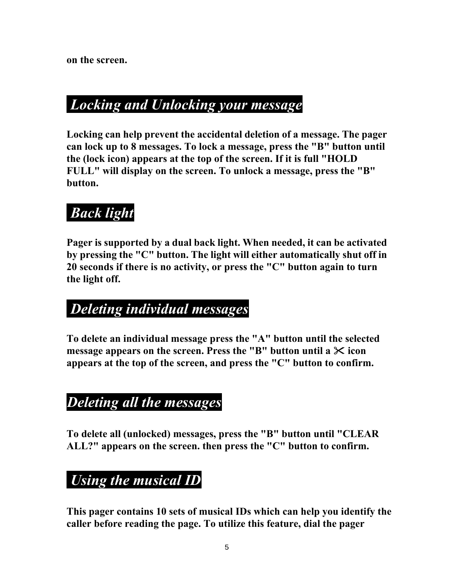**on the screen.**

### *Locking and Unlocking your message*

**Locking can help prevent the accidental deletion of a message. The pager can lock up to 8 messages. To lock a message, press the "B" button until the (lock icon) appears at the top of the screen. If it is full "HOLD FULL" will display on the screen. To unlock a message, press the "B" button.** 

# *Back light*

**Pager is supported by a dual back light. When needed, it can be activated by pressing the "C" button. The light will either automatically shut off in 20 seconds if there is no activity, or press the "C" button again to turn the light off.** 

### *Deleting individual messages*

**To delete an individual message press the "A" button until the selected message appears on the screen. Press the "B" button until a**  $\times$  **icon appears at the top of the screen, and press the "C" button to confirm.** 

### *Deleting all the messages*

**To delete all (unlocked) messages, press the "B" button until "CLEAR ALL?" appears on the screen. then press the "C" button to confirm.** 

# *Using the musical ID*

**This pager contains 10 sets of musical IDs which can help you identify the caller before reading the page. To utilize this feature, dial the pager**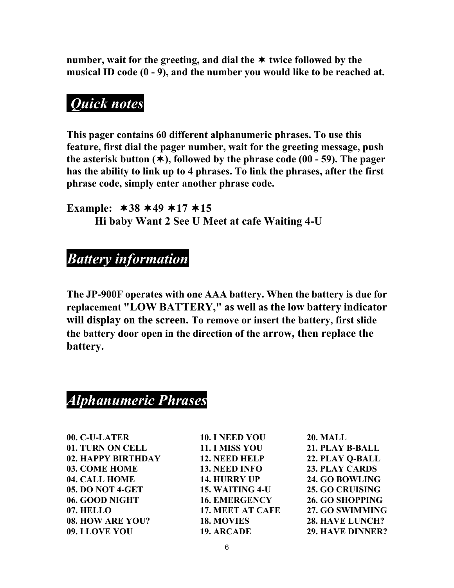number, wait for the greeting, and dial the  $\ast$  twice followed by the **musical ID code (0 - 9), and the number you would like to be reached at.** 

### *Quick notes*

**This pager contains 60 different alphanumeric phrases. To use this feature, first dial the pager number, wait for the greeting message, push**  the asterisk button  $(\ast)$ , followed by the phrase code  $(00 - 59)$ . The pager **has the ability to link up to 4 phrases. To link the phrases, after the first phrase code, simply enter another phrase code.** 

**Example: 38 49 17 15 Hi baby Want 2 See U Meet at cafe Waiting 4-U**

#### *Battery information*

**The JP-900F operates with one AAA battery. When the battery is due for replacement "LOW BATTERY," as well as the low battery indicator will display on the screen. To remove or insert the battery, first slide the battery door open in the direction of the arrow, then replace the battery.** 

#### *Alphanumeric Phrases*

**00. C-U-LATER 10. I NEED YOU 20. MALL 01. TURN ON CELL 11. I MISS YOU 21. PLAY B-BALL 02. HAPPY BIRTHDAY 12. NEED HELP 22. PLAY Q-BALL 03. COME HOME 13. NEED INFO 23. PLAY CARDS 04. CALL HOME 14. HURRY UP 24. GO BOWLING 05. DO NOT 4-GET 15. WAITING 4-U 25. GO CRUISING 06. GOOD NIGHT 16. EMERGENCY 26. GO SHOPPING 07. HELLO 17. MEET AT CAFE 27. GO SWIMMING 08. HOW ARE YOU? 18. MOVIES 28. HAVE LUNCH? 09. I LOVE YOU 19. ARCADE 29. HAVE DINNER?**